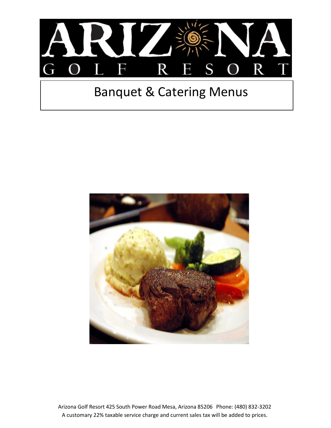

## Banquet & Catering Menus



Arizona Golf Resort 425 South Power Road Mesa, Arizona 85206 Phone: (480) 832-3202 A customary 22% taxable service charge and current sales tax will be added to prices.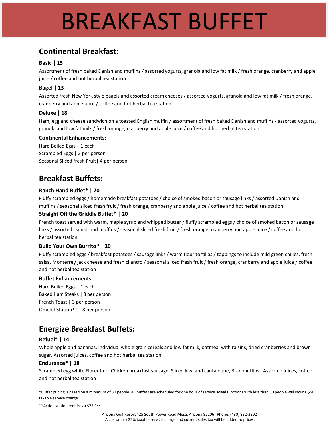## BREAKFAST BUFFET

## **Continental Breakfast:**

#### **Basic | 15**

Assortment of fresh baked Danish and muffins / assorted yogurts, granola and low fat milk / fresh orange, cranberry and apple juice / coffee and hot herbal tea station

#### **Bagel | 13**

Assorted fresh New York style bagels and assorted cream cheeses / assorted yogurts, granola and low fat milk / fresh orange, cranberry and apple juice / coffee and hot herbal tea station

#### **Deluxe | 18**

Ham, egg and cheese sandwich on a toasted English muffin / assortment of fresh baked Danish and muffins / assorted yogurts, granola and low fat milk / fresh orange, cranberry and apple juice / coffee and hot herbal tea station

#### **Continental Enhancements:**

Hard Boiled Eggs | 1 each Scrambled Eggs | 2 per person Seasonal Sliced fresh Fruit| 4 per person

## **Breakfast Buffets:**

#### **Ranch Hand Buffet\* | 20**

Fluffy scrambled eggs / homemade breakfast potatoes / choice of smoked bacon or sausage links / assorted Danish and muffins / seasonal sliced fresh fruit / fresh orange, cranberry and apple juice / coffee and hot herbal tea station

#### **Straight Off the Griddle Buffet\* | 20**

French toast served with warm, maple syrup and whipped butter / fluffy scrambled eggs / choice of smoked bacon or sausage links / assorted Danish and muffins / seasonal sliced fresh fruit / fresh orange, cranberry and apple juice / coffee and hot herbal tea station

#### **Build Your Own Burrito\* | 20**

Fluffy scrambled eggs / breakfast potatoes / sausage links / warm flour tortillas / toppings to include mild green chilies, fresh salsa, Monterrey jack cheese and fresh cilantro / seasonal sliced fresh fruit / fresh orange, cranberry and apple juice / coffee and hot herbal tea station

#### **Buffet Enhancements:**

Hard Boiled Eggs | 1 each Baked Ham Steaks | 3 per person French Toast | 3 per person Omelet Station\*\* | 8 per person

## **Energize Breakfast Buffets:**

#### **Refuel\* | 14**

Whole apple and bananas, individual whole grain cereals and low fat milk, oatmeal with raisins, dried cranberries and brown sugar, Assorted juices, coffee and hot herbal tea station

#### **Endurance\* | 18**

Scrambled egg white Florentine, Chicken breakfast sausage, Sliced kiwi and cantaloupe, Bran muffins, Assorted juices, coffee and hot herbal tea station

\*Buffet pricing is based on a minimum of 30 people. All buffets are scheduled for one hour of service. Meal functions with less than 30 people will incur a \$50 taxable service charge.

\*\*Action station requires a \$75 fee.

Arizona Golf Resort 425 South Power Road Mesa, Arizona 85206 Phone: (480) 832-3202 A customary 22% taxable service charge and current sales tax will be added to prices.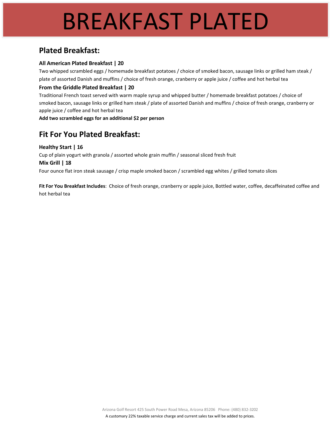## BREAKFAST PLATED

### **Plated Breakfast:**

#### **All American Plated Breakfast | 20**

Two whipped scrambled eggs / homemade breakfast potatoes / choice of smoked bacon, sausage links or grilled ham steak / plate of assorted Danish and muffins / choice of fresh orange, cranberry or apple juice / coffee and hot herbal tea

#### **From the Griddle Plated Breakfast | 20**

Traditional French toast served with warm maple syrup and whipped butter / homemade breakfast potatoes / choice of smoked bacon, sausage links or grilled ham steak / plate of assorted Danish and muffins / choice of fresh orange, cranberry or apple juice / coffee and hot herbal tea

**Add two scrambled eggs for an additional \$2 per person**

## **Fit For You Plated Breakfast:**

**Healthy Start | 16** Cup of plain yogurt with granola / assorted whole grain muffin / seasonal sliced fresh fruit **Mix Grill | 18** Four ounce flat iron steak sausage / crisp maple smoked bacon / scrambled egg whites / grilled tomato slices

**Fit For You Breakfast Includes**: Choice of fresh orange, cranberry or apple juice, Bottled water, coffee, decaffeinated coffee and hot herbal tea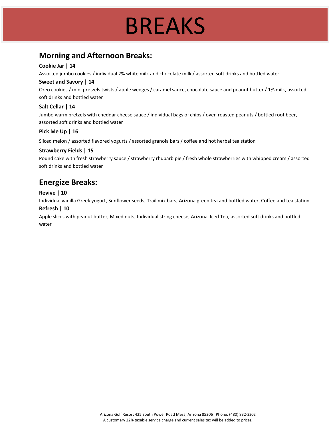## BREAKS

## **Morning and Afternoon Breaks:**

#### **Cookie Jar | 14**

Assorted jumbo cookies / individual 2% white milk and chocolate milk / assorted soft drinks and bottled water

#### **Sweet and Savory | 14**

Oreo cookies / mini pretzels twists / apple wedges / caramel sauce, chocolate sauce and peanut butter / 1% milk, assorted soft drinks and bottled water

#### **Salt Cellar | 14**

Jumbo warm pretzels with cheddar cheese sauce / individual bags of chips / oven roasted peanuts / bottled root beer, assorted soft drinks and bottled water

#### **Pick Me Up | 16**

Sliced melon / assorted flavored yogurts / assorted granola bars / coffee and hot herbal tea station

#### **Strawberry Fields | 15**

Pound cake with fresh strawberry sauce / strawberry rhubarb pie / fresh whole strawberries with whipped cream / assorted soft drinks and bottled water

### **Energize Breaks:**

#### **Revive | 10**

Individual vanilla Greek yogurt, Sunflower seeds, Trail mix bars, Arizona green tea and bottled water, Coffee and tea station **Refresh | 10**

Apple slices with peanut butter, Mixed nuts, Individual string cheese, Arizona Iced Tea, assorted soft drinks and bottled water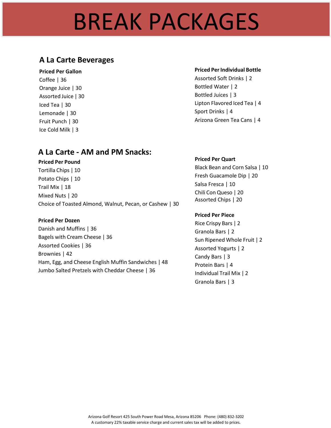## BREAK PACKAGES

### **A La Carte Beverages**

#### **Priced Per Gallon**

Coffee | 36 Orange Juice | 30 Assorted Juice | 30 Iced Tea | 30 Lemonade | 30 Fruit Punch | 30 Ice Cold Milk | 3

#### **Priced PerIndividual Bottle**

Assorted Soft Drinks | 2 Bottled Water | 2 Bottled Juices | 3 Lipton Flavored Iced Tea | 4 Sport Drinks | 4 Arizona Green Tea Cans | 4

### **A La Carte - AM and PM Snacks:**

### **Priced Per Pound**

Tortilla Chips | 10 Potato Chips | 10 Trail Mix | 18 Mixed Nuts | 20 Choice of Toasted Almond, Walnut, Pecan, or Cashew | 30

#### **Priced Per Dozen**

Danish and Muffins | 36 Bagels with Cream Cheese | 36 Assorted Cookies | 36 Brownies | 42 Ham, Egg, and Cheese English Muffin Sandwiches | 48 Jumbo Salted Pretzels with Cheddar Cheese | 36

#### **Priced Per Quart**

Black Bean and Corn Salsa | 10 Fresh Guacamole Dip | 20 Salsa Fresca | 10 Chili Con Queso | 20 Assorted Chips | 20

#### **Priced Per Piece**

Rice Crispy Bars | 2 Granola Bars | 2 Sun Ripened Whole Fruit | 2 Assorted Yogurts | 2 Candy Bars | 3 Protein Bars | 4 Individual Trail Mix | 2 Granola Bars | 3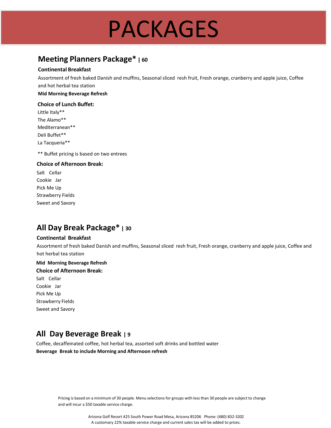## PACKAGES

## **Meeting Planners Package\* <sup>|</sup> <sup>60</sup>**

#### **Continental Breakfast**

Assortment of fresh baked Danish and muffins, Seasonal sliced resh fruit, Fresh orange, cranberry and apple juice, Coffee and hot herbal tea station

#### **Mid Morning Beverage Refresh**

#### **Choice of Lunch Buffet:**

Little Italy\*\* The Alamo\*\* Mediterranean\*\* Deli Buffet\*\* La Tacqueria\*\*

\*\* Buffet pricing is based on two entrees

#### **Choice of Afternoon Break:**

Salt Cellar Cookie Jar Pick Me Up Strawberry Fields Sweet and Savory

### **All Day Break Package\* <sup>|</sup> <sup>30</sup>**

#### **Continental Breakfast**

Assortment of fresh baked Danish and muffins, Seasonal sliced resh fruit, Fresh orange, cranberry and apple juice, Coffee and hot herbal tea station

#### **Mid Morning Beverage Refresh Choice of Afternoon Break:** Salt Cellar Cookie Jar Pick Me Up Strawberry Fields Sweet and Savory

### **All Day Beverage Break <sup>|</sup> <sup>9</sup>**

Coffee, decaffeinated coffee, hot herbal tea, assorted soft drinks and bottled water **Beverage Break to include Morning and Afternoon refresh**

> Pricing is based on a minimum of 30 people. Menu selections for groups with less than 30 people are subject to change and will incur a \$50 taxable service charge.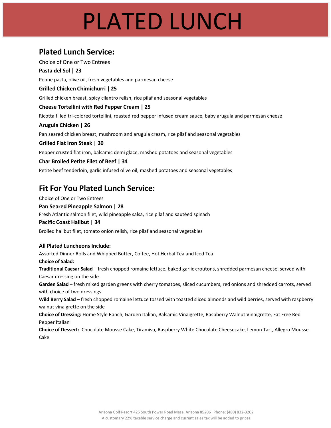## PLATED LUNCH

### **Plated Lunch Service:**

Choice of One or Two Entrees **Pasta del Sol | 23** Penne pasta, olive oil, fresh vegetables and parmesan cheese **Grilled Chicken Chimichurri | 25** Grilled chicken breast, spicy cilantro relish, rice pilaf and seasonal vegetables **Cheese Tortellini with Red Pepper Cream | 25** Ricotta filled tri-colored tortellini, roasted red pepper infused cream sauce, baby arugula and parmesan cheese **Arugula Chicken | 26** Pan seared chicken breast, mushroom and arugula cream, rice pilaf and seasonal vegetables **Grilled Flat Iron Steak | 30** Pepper crusted flat iron, balsamic demi glace, mashed potatoes and seasonal vegetables **Char Broiled Petite Filet of Beef | 34** Petite beef tenderloin, garlic infused olive oil, mashed potatoes and seasonal vegetables

## **Fit For You Plated Lunch Service:**

Choice of One or Two Entrees

#### **Pan Seared Pineapple Salmon | 28**

Fresh Atlantic salmon filet, wild pineapple salsa, rice pilaf and sautéed spinach

#### **Pacific Coast Halibut | 34**

Broiled halibut filet, tomato onion relish, rice pilaf and seasonal vegetables

#### **All Plated Luncheons Include:**

Assorted Dinner Rolls and Whipped Butter, Coffee, Hot Herbal Tea and Iced Tea **Choice of Salad: Traditional Caesar Salad** – fresh chopped romaine lettuce, baked garlic croutons, shredded parmesan cheese, served with Caesar dressing on the side **Garden Salad** – fresh mixed garden greens with cherry tomatoes, sliced cucumbers, red onions and shredded carrots, served with choice of two dressings **Wild Berry Salad** – fresh chopped romaine lettuce tossed with toasted sliced almonds and wild berries, served with raspberry walnut vinaigrette on the side **Choice of Dressing:** Home Style Ranch, Garden Italian, Balsamic Vinaigrette, Raspberry Walnut Vinaigrette, Fat Free Red Pepper Italian **Choice of Dessert:** Chocolate Mousse Cake, Tiramisu, Raspberry White Chocolate Cheesecake, Lemon Tart, Allegro Mousse

Cake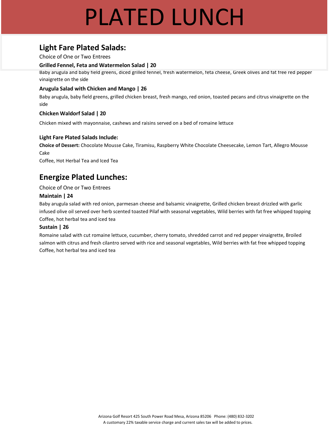## PLATED LUNCH

## **Light Fare Plated Salads:**

Choice of One or Two Entrees

#### **Grilled Fennel, Feta and Watermelon Salad | 20**

Baby arugula and baby field greens, diced grilled fennel, fresh watermelon, feta cheese, Greek olives and fat free red pepper vinaigrette on the side

#### **Arugula Salad with Chicken and Mango | 26**

Baby arugula, baby field greens, grilled chicken breast, fresh mango, red onion, toasted pecans and citrus vinaigrette on the side

#### **Chicken Waldorf Salad | 20**

Chicken mixed with mayonnaise, cashews and raisins served on a bed of romaine lettuce

#### **Light Fare Plated Salads Include:**

**Choice of Dessert:** Chocolate Mousse Cake, Tiramisu, Raspberry White Chocolate Cheesecake, Lemon Tart, Allegro Mousse Cake

Coffee, Hot Herbal Tea and Iced Tea

## **Energize Plated Lunches:**

Choice of One or Two Entrees

#### **Maintain | 24**

Baby arugula salad with red onion, parmesan cheese and balsamic vinaigrette, Grilled chicken breast drizzled with garlic infused olive oil served over herb scented toasted Pilaf with seasonal vegetables, Wild berries with fat free whipped topping Coffee, hot herbal tea and iced tea

#### **Sustain | 26**

Romaine salad with cut romaine lettuce, cucumber, cherry tomato, shredded carrot and red pepper vinaigrette, Broiled salmon with citrus and fresh cilantro served with rice and seasonal vegetables, Wild berries with fat free whipped topping Coffee, hot herbal tea and iced tea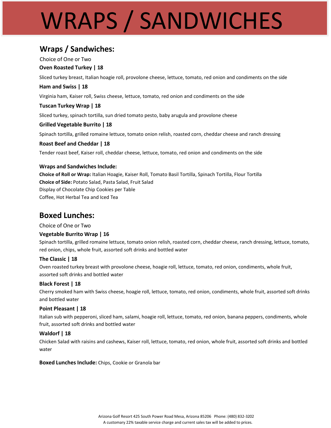# WRAPS / SANDWICHES

### **Wraps / Sandwiches:**

Choice of One or Two

#### **Oven Roasted Turkey | 18**

Sliced turkey breast, Italian hoagie roll, provolone cheese, lettuce, tomato, red onion and condiments on the side

#### **Ham and Swiss | 18**

Virginia ham, Kaiser roll, Swiss cheese, lettuce, tomato, red onion and condiments on the side

#### **Tuscan Turkey Wrap | 18**

Sliced turkey, spinach tortilla, sun dried tomato pesto, baby arugula and provolone cheese

#### **Grilled Vegetable Burrito | 18**

Spinach tortilla, grilled romaine lettuce, tomato onion relish, roasted corn, cheddar cheese and ranch dressing

#### **Roast Beef and Cheddar | 18**

Tender roast beef, Kaiser roll, cheddar cheese, lettuce, tomato, red onion and condiments on the side

#### **Wraps and Sandwiches Include:**

**Choice of Roll or Wrap:** Italian Hoagie, Kaiser Roll, Tomato Basil Tortilla, Spinach Tortilla, Flour Tortilla **Choice of Side:** Potato Salad, Pasta Salad, Fruit Salad Display of Chocolate Chip Cookies per Table Coffee, Hot Herbal Tea and Iced Tea

### **Boxed Lunches:**

Choice of One or Two

#### **Vegetable Burrito Wrap | 16**

Spinach tortilla, grilled romaine lettuce, tomato onion relish, roasted corn, cheddar cheese, ranch dressing, lettuce, tomato, red onion, chips, whole fruit, assorted soft drinks and bottled water

#### **The Classic | 18**

Oven roasted turkey breast with provolone cheese, hoagie roll, lettuce, tomato, red onion, condiments, whole fruit, assorted soft drinks and bottled water

#### **Black Forest | 18**

Cherry smoked ham with Swiss cheese, hoagie roll, lettuce, tomato, red onion, condiments, whole fruit, assorted soft drinks and bottled water

#### **Point Pleasant | 18**

Italian sub with pepperoni, sliced ham, salami, hoagie roll, lettuce, tomato, red onion, banana peppers, condiments, whole fruit, assorted soft drinks and bottled water

#### **Waldorf | 18**

Chicken Salad with raisins and cashews, Kaiser roll, lettuce, tomato, red onion, whole fruit, assorted soft drinks and bottled water

**Boxed Lunches Include:** Chips, Cookie or Granola bar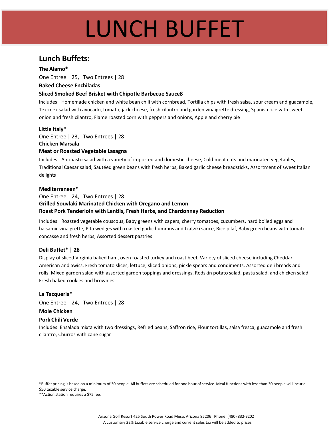## LUNCH BUFFET

### **Lunch Buffets:**

**The Alamo\*** One Entree | 25, Two Entrees | 28

#### **Baked Cheese Enchiladas**

#### **Sliced Smoked Beef Brisket with Chipotle Barbecue Sauce8**

Includes: Homemade chicken and white bean chili with cornbread, Tortilla chips with fresh salsa, sour cream and guacamole, Tex-mex salad with avocado, tomato, jack cheese, fresh cilantro and garden vinaigrette dressing, Spanish rice with sweet onion and fresh cilantro, Flame roasted corn with peppers and onions, Apple and cherry pie

#### **Little Italy\***

One Entree | 23, Two Entrees | 28 **Chicken Marsala Meat or Roasted Vegetable Lasagna**

Includes: Antipasto salad with a variety of imported and domestic cheese, Cold meat cuts and marinated vegetables, Traditional Caesar salad, Sautéed green beans with fresh herbs, Baked garlic cheese breadsticks, Assortment of sweet Italian delights

#### **Mediterranean\***

#### One Entree | 24, Two Entrees | 28 **Grilled Souvlaki Marinated Chicken with Oregano and Lemon Roast Pork Tenderloin with Lentils, Fresh Herbs, and Chardonnay Reduction**

Includes: Roasted vegetable couscous, Baby greens with capers, cherry tomatoes, cucumbers, hard boiled eggs and balsamic vinaigrette, Pita wedges with roasted garlic hummus and tzatziki sauce, Rice pilaf, Baby green beans with tomato concasse and fresh herbs, Assorted dessert pastries

#### **Deli Buffet\* | 26**

Display of sliced Virginia baked ham, oven roasted turkey and roast beef, Variety of sliced cheese including Cheddar, American and Swiss, Fresh tomato slices, lettuce, sliced onions, pickle spears and condiments, Assorted deli breads and rolls, Mixed garden salad with assorted garden toppings and dressings, Redskin potato salad, pasta salad, and chicken salad, Fresh baked cookies and brownies

#### **La Tacqueria\***

One Entree | 24, Two Entrees | 28

#### **Mole Chicken**

#### **Pork Chili Verde**

Includes: Ensalada mixta with two dressings, Refried beans, Saffron rice, Flour tortillas, salsa fresca, guacamole and fresh cilantro, Churros with cane sugar

\*Buffet pricing is based on a minimum of 30 people. All buffets are scheduled for one hour of service. Meal functions with less than 30 people will incur a \$50 taxable service charge.

\*\*Action station requires a \$75 fee.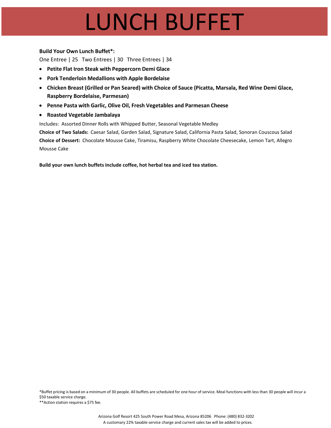## LUNCH BUFFET

#### **Build Your Own Lunch Buffet\*:**

One Entree | 25 Two Entrees | 30 Three Entrees | 34

- **Petite Flat Iron Steak with Peppercorn Demi Glace**
- **Pork Tenderloin Medallions with Apple Bordelaise**
- **Chicken Breast (Grilled or Pan Seared) with Choice of Sauce (Picatta, Marsala, Red Wine Demi Glace, Raspberry Bordelaise, Parmesan)**
- **Penne Pasta with Garlic, Olive Oil, Fresh Vegetables and Parmesan Cheese**
- **Roasted Vegetable Jambalaya**

Includes: Assorted Dinner Rolls with Whipped Butter, Seasonal Vegetable Medley

**Choice of Two Salads:** Caesar Salad, Garden Salad, Signature Salad, California Pasta Salad, Sonoran Couscous Salad **Choice of Dessert:** Chocolate Mousse Cake, Tiramisu, Raspberry White Chocolate Cheesecake, Lemon Tart, Allegro Mousse Cake

**Build your own lunch buffets include coffee, hot herbal tea and iced tea station.**

\*Buffet pricing is based on a minimum of 30 people. All buffets are scheduled for one hour of service. Meal functions with less than 30 people will incur a \$50 taxable service charge.

\*\*Action station requires a \$75 fee.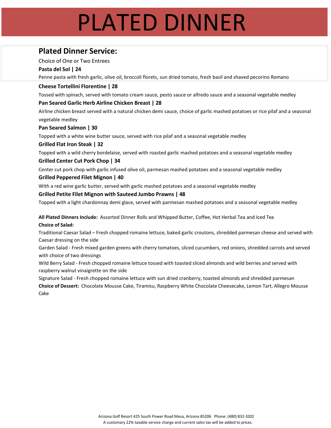## PLATED DINNER

## **Plated Dinner Service:**

Choice of One or Two Entrees

#### **Pasta del Sol | 24**

Penne pasta with fresh garlic, olive oil, broccoli florets, sun dried tomato, fresh basil and shaved pecorino Romano

#### **Cheese Tortellini Florentine | 28**

Tossed with spinach, served with tomato cream sauce, pesto sauce or alfredo sauce and a seasonal vegetable medley

#### **Pan Seared Garlic Herb Airline Chicken Breast | 28**

Airline chicken breast served with a natural chicken demi sauce, choice of garlic mashed potatoes or rice pilaf and a seasonal vegetable medley

#### **Pan Seared Salmon | 30**

Topped with a white wine butter sauce, served with rice pilaf and a seasonal vegetable medley

#### **Grilled Flat Iron Steak | 32**

Topped with a wild cherry bordelaise, served with roasted garlic mashed potatoes and a seasonal vegetable medley

#### **Grilled Center Cut Pork Chop | 34**

Center cut pork chop with garlic infused olive oil, parmesan mashed potatoes and a seasonal vegetable medley

#### **Grilled Peppered Filet Mignon | 40**

With a red wine garlic butter, served with garlic mashed potatoes and a seasonal vegetable medley

#### **Grilled Petite Filet Mignon with Sauteed Jumbo Prawns | 48**

Topped with a light chardonnay demi glace, served with parmesan mashed potatoes and a seasonal vegetable medley

**All Plated Dinners Include:** Assorted Dinner Rolls and Whipped Butter, Coffee, Hot Herbal Tea and Iced Tea **Choice of Salad:**

Traditional Caesar Salad – Fresh chopped romaine lettuce, baked garlic croutons, shredded parmesan cheese and served with Caesar dressing on the side

Garden Salad - Fresh mixed garden greens with cherry tomatoes, sliced cucumbers, red onions, shredded carrots and served with choice of two dressings

Wild Berry Salad - Fresh chopped romaine lettuce tossed with toasted sliced almonds and wild berries and served with raspberry walnut vinaigrette on the side

Signature Salad - Fresh chopped romaine lettuce with sun dried cranberry, toasted almonds and shredded parmesan

**Choice of Dessert:** Chocolate Mousse Cake, Tiramisu, Raspberry White Chocolate Cheesecake, Lemon Tart, Allegro Mousse Cake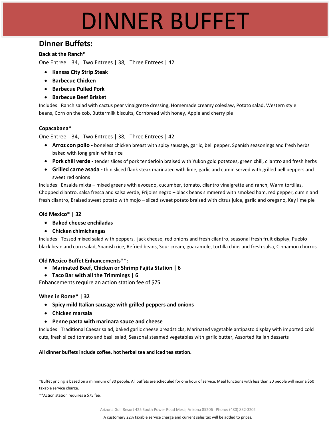## DINNER BUFFET

### **Dinner Buffets:**

#### **Back at the Ranch\***

One Entree | 34, Two Entrees | 38, Three Entrees | 42

- **Kansas City Strip Steak**
- **Barbecue Chicken**
- **Barbecue Pulled Pork**
- **Barbecue Beef Brisket**

Includes: Ranch salad with cactus pear vinaigrette dressing, Homemade creamy coleslaw, Potato salad, Western style beans, Corn on the cob, Buttermilk biscuits, Cornbread with honey, Apple and cherry pie

#### **Copacabana\***

One Entree | 34, Two Entrees | 38, Three Entrees | 42

- **Arroz con pollo -** boneless chicken breast with spicy sausage, garlic, bell pepper, Spanish seasonings and fresh herbs baked with long grain white rice
- **Pork chili verde -** tender slices of pork tenderloin braised with Yukon gold potatoes, green chili, cilantro and fresh herbs
- **Grilled carne asada -** thin sliced flank steak marinated with lime, garlic and cumin served with grilled bell peppers and sweet red onions

Includes: Ensalda mixta – mixed greens with avocado, cucumber, tomato, cilantro vinaigrette and ranch, Warm tortillas, Chopped cilantro, salsa fresca and salsa verde, Frijoles negro – black beans simmered with smoked ham, red pepper, cumin and fresh cilantro, Braised sweet potato with mojo – sliced sweet potato braised with citrus juice, garlic and oregano, Key lime pie

#### **Old Mexico\* | 32**

- **Baked cheese enchiladas**
- **Chicken chimichangas**

Includes: Tossed mixed salad with peppers, jack cheese, red onions and fresh cilantro, seasonal fresh fruit display, Pueblo black bean and corn salad, Spanish rice, Refried beans, Sour cream, guacamole, tortilla chips and fresh salsa, Cinnamon churros

#### **Old Mexico Buffet Enhancements\*\*:**

- **Marinated Beef, Chicken or Shrimp Fajita Station | 6**
- **Taco Bar with all the Trimmings | 6**

Enhancements require an action station fee of \$75

#### **When in Rome\* | 32**

- **Spicy mild Italian sausage with grilled peppers and onions**
- **Chicken marsala**
- **Penne pasta with marinara sauce and cheese**

Includes: Traditional Caesar salad, baked garlic cheese breadsticks, Marinated vegetable antipasto display with imported cold cuts, fresh sliced tomato and basil salad, Seasonal steamed vegetables with garlic butter, Assorted Italian desserts

**All dinner buffets include coffee, hot herbal tea and iced tea station.**

\*Buffet pricing is based on a minimum of 30 people. All buffets are scheduled for one hour of service. Meal functions with less than 30 people will incur a \$50 taxable service charge.

\*\*Action station requires a \$75 fee.

Arizona Golf Resort 425 South Power Road Mesa, Arizona 85206 Phone: (480) 832-3202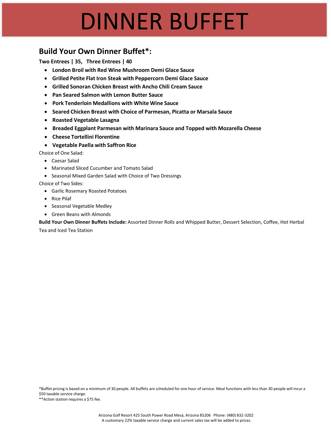## DINNER BUFFET

### **Build Your Own Dinner Buffet\*:**

**Two Entrees | 35, Three Entrees | 40**

- **London Broil with Red Wine Mushroom Demi Glace Sauce**
- **Grilled Petite Flat Iron Steak with Peppercorn Demi Glace Sauce**
- **Grilled Sonoran Chicken Breast with Ancho Chili Cream Sauce**
- **Pan Seared Salmon with Lemon Butter Sauce**
- **Pork Tenderloin Medallions with White Wine Sauce**
- **Seared Chicken Breast with Choice of Parmesan, Picatta or Marsala Sauce**
- **Roasted Vegetable Lasagna**
- **Breaded Eggplant Parmesan with Marinara Sauce and Topped with Mozarella Cheese**
- **Cheese Tortellini Florentine**
- **Vegetable Paella with Saffron Rice**

Choice of One Salad:

- Caesar Salad
- Marinated Sliced Cucumber and Tomato Salad
- Seasonal Mixed Garden Salad with Choice of Two Dressings

Choice of Two Sides:

- Garlic Rosemary Roasted Potatoes
- Rice Pilaf
- Seasonal Vegetable Medley
- Green Beans with Almonds

**Build Your Own Dinner Buffets Include:** Assorted Dinner Rolls and Whipped Butter, Dessert Selection, Coffee, Hot Herbal

Tea and Iced Tea Station

\*Buffet pricing is based on a minimum of 30 people. All buffets are scheduled for one hour of service. Meal functions with less than 30 people will incur a \$50 taxable service charge.

\*\*Action station requires a \$75 fee.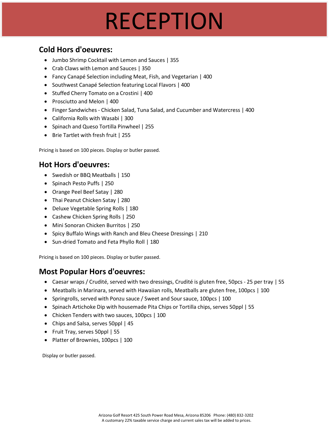## RECEPTION

## **Cold Hors d'oeuvres:**

- Jumbo Shrimp Cocktail with Lemon and Sauces | 355
- Crab Claws with Lemon and Sauces | 350
- Fancy Canapé Selection including Meat, Fish, and Vegetarian | 400
- Southwest Canapé Selection featuring Local Flavors | 400
- Stuffed Cherry Tomato on a Crostini | 400
- Prosciutto and Melon | 400
- Finger Sandwiches Chicken Salad, Tuna Salad, and Cucumber and Watercress | 400
- California Rolls with Wasabi | 300
- Spinach and Queso Tortilla Pinwheel | 255
- Brie Tartlet with fresh fruit | 255

Pricing is based on 100 pieces. Display or butler passed.

### **Hot Hors d'oeuvres:**

- Swedish or BBQ Meatballs | 150
- Spinach Pesto Puffs | 250
- Orange Peel Beef Satay | 280
- Thai Peanut Chicken Satay | 280
- Deluxe Vegetable Spring Rolls | 180
- Cashew Chicken Spring Rolls | 250
- Mini Sonoran Chicken Burritos | 250
- Spicy Buffalo Wings with Ranch and Bleu Cheese Dressings | 210
- Sun-dried Tomato and Feta Phyllo Roll | 180

Pricing is based on 100 pieces. Display or butler passed.

### **Most Popular Hors d'oeuvres:**

- Caesar wraps / Crudité, served with two dressings, Crudité is gluten free, 50pcs 25 per tray | 55
- Meatballs in Marinara, served with Hawaiian rolls, Meatballs are gluten free, 100pcs | 100
- Springrolls, served with Ponzu sauce / Sweet and Soursauce, 100pcs | 100
- Spinach Artichoke Dip with housemade Pita Chips or Tortilla chips, serves 50ppl | 55
- Chicken Tenders with two sauces, 100pcs | 100
- Chips and Salsa, serves 50ppl | 45
- Fruit Tray, serves 50ppl | 55
- Platter of Brownies, 100pcs | 100

Display or butler passed.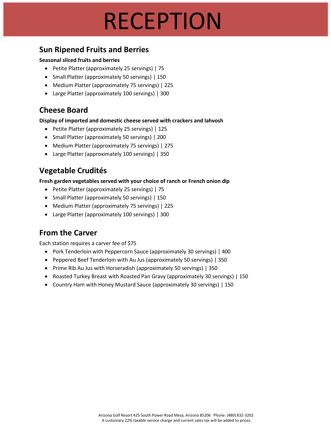## RECEPTION

### **Sun Ripened Fruits and Berries**

#### **Seasonal sliced fruits and berries**

- Petite Platter (approximately 25 servings) | 75
- Small Platter (approximately 50 servings) | 150
- Medium Platter (approximately 75 servings) | 225
- Large Platter (approximately 100 servings) | 300

### **Cheese Board**

**Display of imported and domestic cheese served with crackers and lahvosh**

- Petite Platter (approximately 25 servings) | 125
- Small Platter (approximately 50 servings) | 200
- Medium Platter (approximately 75 servings) | 275
- Large Platter (approximately 100 servings) | 350

## **Vegetable Crudités**

**Fresh garden vegetables served with your choice of ranch or French onion dip**

- Petite Platter (approximately 25 servings) | 75
- Small Platter (approximately 50 servings) | 150
- Medium Platter (approximately 75 servings) | 225
- Large Platter (approximately 100 servings) | 300

### **From the Carver**

Each station requires a carver fee of \$75

- Pork Tenderloin with Peppercorn Sauce (approximately 30 servings) | 400
- Peppered Beef Tenderloin with Au Jus (approximately 50 servings) | 350
- Prime Rib Au Jus with Horseradish (approximately 50 servings) | 350
- Roasted Turkey Breast with Roasted Pan Gravy (approximately 30 servings) | 150
- Country Ham with Honey Mustard Sauce (approximately 30 servings) | 150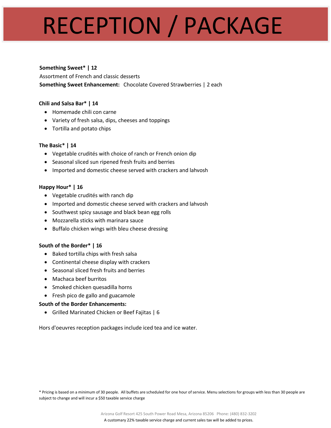## RECEPTION / PACKAGE

#### **Something Sweet\* | 12**

Assortment of French and classic desserts **Something Sweet Enhancement:** Chocolate Covered Strawberries | 2 each

#### **Chili and Salsa Bar\* | 14**

- Homemade chili con carne
- Variety of fresh salsa, dips, cheeses and toppings
- Tortilla and potato chips

#### **The Basic\* | 14**

- Vegetable crudités with choice of ranch or French onion dip
- Seasonal sliced sun ripened fresh fruits and berries
- Imported and domestic cheese served with crackers and lahvosh

#### **Happy Hour\* | 16**

- Vegetable crudités with ranch dip
- Imported and domestic cheese served with crackers and lahvosh
- Southwest spicy sausage and black bean egg rolls
- Mozzarella sticks with marinara sauce
- Buffalo chicken wings with bleu cheese dressing

#### **South of the Border\* | 16**

- Baked tortilla chips with fresh salsa
- Continental cheese display with crackers
- Seasonal sliced fresh fruits and berries
- Machaca beef burritos
- Smoked chicken quesadilla horns
- Fresh pico de gallo and guacamole

#### **South of the Border Enhancements:**

• Grilled Marinated Chicken or Beef Fajitas | 6

Hors d'oeuvres reception packages include iced tea and ice water.

\* Pricing is based on a minimum of 30 people. All buffets are scheduled for one hour of service. Menu selections for groups with less than 30 people are subject to change and will incur a \$50 taxable service charge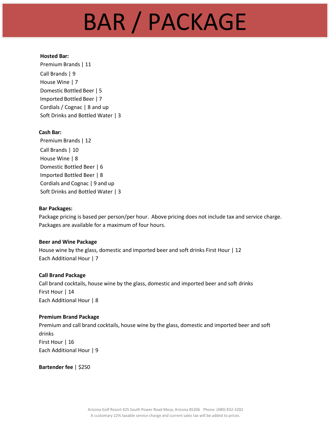## BAR / PACKAGE

#### **Hosted Bar:**

Premium Brands | 11 Call Brands | 9 House Wine | 7 Domestic Bottled Beer | 5 Imported Bottled Beer | 7 Cordials / Cognac | 8 and up Soft Drinks and Bottled Water | 3

#### **Cash Bar:**

Premium Brands | 12 Call Brands | 10 House Wine | 8 Domestic Bottled Beer | 6 Imported Bottled Beer | 8 Cordials and Cognac | 9 and up Soft Drinks and Bottled Water | 3

#### **Bar Packages:**

Package pricing is based per person/per hour. Above pricing does not include tax and service charge. Packages are available for a maximum of four hours.

#### **Beer and Wine Package**

House wine by the glass, domestic and imported beer and soft drinks First Hour | 12 Each Additional Hour | 7

#### **Call Brand Package**

Call brand cocktails, house wine by the glass, domestic and imported beer and soft drinks First Hour | 14 Each Additional Hour | 8

#### **Premium Brand Package**

Premium and call brand cocktails, house wine by the glass, domestic and imported beer and soft drinks First Hour | 16 Each Additional Hour | 9

**Bartender fee** | \$250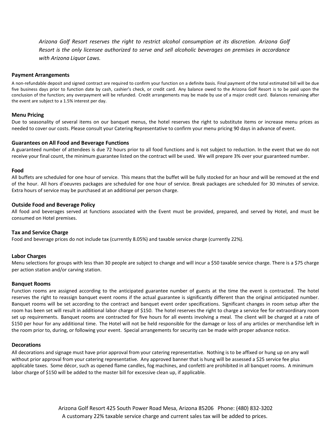*Arizona Golf Resort reserves the right to restrict alcohol consumption at its discretion. Arizona Golf Resort is the only licensee authorized to serve and sell alcoholic beverages on premises in accordance with Arizona Liquor Laws.*

#### **Payment Arrangements**

A non-refundable deposit and signed contract are required to confirm your function on a definite basis. Final payment of the total estimated bill will be due five business days prior to function date by cash, cashier's check, or credit card. Any balance owed to the Arizona Golf Resort is to be paid upon the conclusion of the function; any overpayment will be refunded. Credit arrangements may be made by use of a major credit card. Balances remaining after the event are subject to a 1.5% interest per day.

#### **Menu Pricing**

Due to seasonality of several items on our banquet menus, the hotel reserves the right to substitute items or increase menu prices as needed to cover our costs. Please consult your Catering Representative to confirm your menu pricing 90 days in advance of event.

#### **Guarantees on All Food and Beverage Functions**

A guaranteed number of attendees is due 72 hours prior to all food functions and is not subject to reduction. In the event that we do not receive your final count, the minimum guarantee listed on the contract will be used. We will prepare 3% over your guaranteed number.

#### **Food**

All buffets are scheduled for one hour of service. This means that the buffet will be fully stocked for an hour and will be removed at the end of the hour. All hors d'oeuvres packages are scheduled for one hour of service. Break packages are scheduled for 30 minutes of service. Extra hours of service may be purchased at an additional per person charge.

#### **Outside Food and Beverage Policy**

All food and beverages served at functions associated with the Event must be provided, prepared, and served by Hotel, and must be consumed on Hotel premises.

#### **Tax and Service Charge**

Food and beverage prices do not include tax (currently 8.05%) and taxable service charge (currently 22%).

#### **Labor Charges**

Menu selections for groups with less than 30 people are subject to change and will incur a \$50 taxable service charge. There is a \$75 charge per action station and/or carving station.

#### **Banquet Rooms**

Function rooms are assigned according to the anticipated guarantee number of guests at the time the event is contracted. The hotel reserves the right to reassign banquet event rooms if the actual guarantee is significantly different than the original anticipated number. Banquet rooms will be set according to the contract and banquet event order specifications. Significant changes in room setup after the room has been set will result in additional labor charge of \$150. The hotel reserves the right to charge a service fee for extraordinary room set up requirements. Banquet rooms are contracted for five hours for all events involving a meal. The client will be charged at a rate of \$150 per hour for any additional time. The Hotel will not be held responsible for the damage or loss of any articles or merchandise left in the room prior to, during, or following your event. Special arrangements for security can be made with proper advance notice.

#### **Decorations**

All decorations and signage must have prior approval from your catering representative. Nothing is to be affixed or hung up on any wall without prior approval from your catering representative. Any approved banner that is hung will be assessed a \$25 service fee plus applicable taxes. Some décor, such as opened flame candles, fog machines, and confetti are prohibited in all banquet rooms. A minimum labor charge of \$150 will be added to the master bill for excessive clean up, if applicable.

> Arizona Golf Resort 425 South Power Road Mesa, Arizona 85206 Phone: (480) 832-3202 A customary 22% taxable service charge and current sales tax will be added to prices.